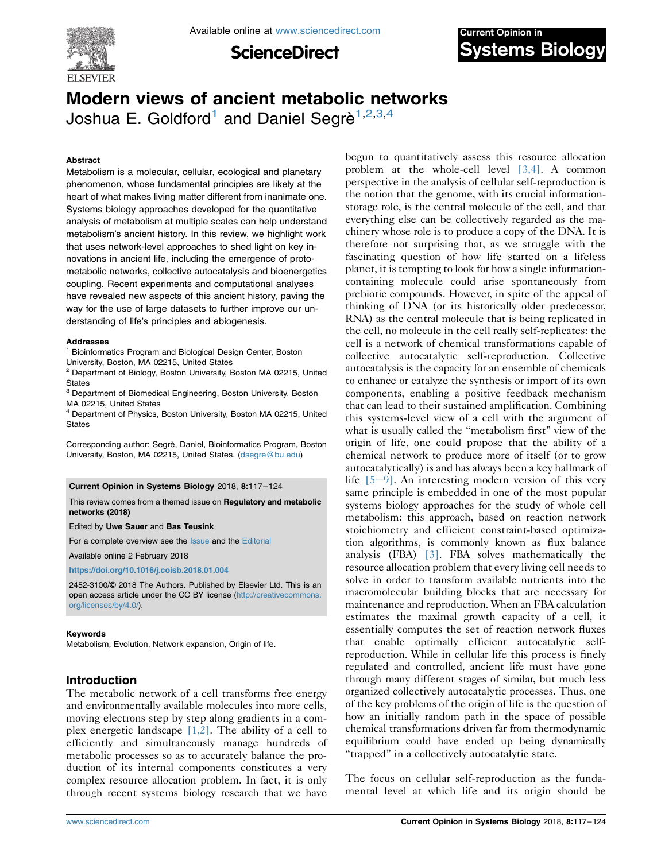

**ScienceDirect** 



# Modern views of ancient metabolic networks Joshua E. Goldford<sup>1</sup> and Daniel Segrè<sup>1,2,3,4</sup>

## Abstract

Metabolism is a molecular, cellular, ecological and planetary phenomenon, whose fundamental principles are likely at the heart of what makes living matter different from inanimate one. Systems biology approaches developed for the quantitative analysis of metabolism at multiple scales can help understand metabolism's ancient history. In this review, we highlight work that uses network-level approaches to shed light on key innovations in ancient life, including the emergence of protometabolic networks, collective autocatalysis and bioenergetics coupling. Recent experiments and computational analyses have revealed new aspects of this ancient history, paving the way for the use of large datasets to further improve our understanding of life's principles and abiogenesis.

#### Addresses

<sup>1</sup> Bioinformatics Program and Biological Design Center, Boston University, Boston, MA 02215, United States

<sup>2</sup> Department of Biology, Boston University, Boston MA 02215, United **States** 

<sup>3</sup> Department of Biomedical Engineering, Boston University, Boston MA 02215, United States

<sup>4</sup> Department of Physics, Boston University, Boston MA 02215, United **States** 

Corresponding author: Segrè, Daniel, Bioinformatics Program, Boston University, Boston, MA 02215, United States. ([dsegre@bu.edu\)](mailto:dsegre@bu.edu)

#### Current Opinion in Systems Biology 2018, 8:117–124

This review comes from a themed issue on Regulatory and metabolic networks (2018)

Edited by Uwe Sauer and Bas Teusink

For a complete overview see the [Issue](https://www.sciencedirect.com/science/journal/18796257/8/C) and the [Editorial](https://doi.org/10.1016/j.coisb.2018.03.001)

Available online 2 February 2018

<https://doi.org/10.1016/j.coisb.2018.01.004>

2452-3100/© 2018 The Authors. Published by Elsevier Ltd. This is an open access article under the CC BY license ([http://creativecommons.](http://creativecommons.org/licenses/by/4.0/) [org/licenses/by/4.0/](http://creativecommons.org/licenses/by/4.0/)).

## Keywords

Metabolism, Evolution, Network expansion, Origin of life.

## Introduction

The metabolic network of a cell transforms free energy and environmentally available molecules into more cells, moving electrons step by step along gradients in a complex energetic landscape  $[1,2]$ . The ability of a cell to efficiently and simultaneously manage hundreds of metabolic processes so as to accurately balance the production of its internal components constitutes a very complex resource allocation problem. In fact, it is only through recent systems biology research that we have

begun to quantitatively assess this resource allocation problem at the whole-cell level [\[3,4\]](#page-5-0). A common perspective in the analysis of cellular self-reproduction is the notion that the genome, with its crucial informationstorage role, is the central molecule of the cell, and that everything else can be collectively regarded as the machinery whose role is to produce a copy of the DNA. It is therefore not surprising that, as we struggle with the fascinating question of how life started on a lifeless planet, it is tempting to look for how a single informationcontaining molecule could arise spontaneously from prebiotic compounds. However, in spite of the appeal of thinking of DNA (or its historically older predecessor, RNA) as the central molecule that is being replicated in the cell, no molecule in the cell really self-replicates: the cell is a network of chemical transformations capable of collective autocatalytic self-reproduction. Collective autocatalysis is the capacity for an ensemble of chemicals to enhance or catalyze the synthesis or import of its own components, enabling a positive feedback mechanism that can lead to their sustained amplification. Combining this systems-level view of a cell with the argument of what is usually called the "metabolism first" view of the origin of life, one could propose that the ability of a chemical network to produce more of itself (or to grow autocatalytically) is and has always been a key hallmark of life  $[5-9]$  $[5-9]$ . An interesting modern version of this very same principle is embedded in one of the most popular systems biology approaches for the study of whole cell metabolism: this approach, based on reaction network stoichiometry and efficient constraint-based optimization algorithms, is commonly known as flux balance analysis (FBA) [\[3\].](#page-5-0) FBA solves mathematically the resource allocation problem that every living cell needs to solve in order to transform available nutrients into the macromolecular building blocks that are necessary for maintenance and reproduction. When an FBA calculation estimates the maximal growth capacity of a cell, it essentially computes the set of reaction network fluxes that enable optimally efficient autocatalytic selfreproduction. While in cellular life this process is finely regulated and controlled, ancient life must have gone through many different stages of similar, but much less organized collectively autocatalytic processes. Thus, one of the key problems of the origin of life is the question of how an initially random path in the space of possible chemical transformations driven far from thermodynamic equilibrium could have ended up being dynamically "trapped" in a collectively autocatalytic state.

The focus on cellular self-reproduction as the fundamental level at which life and its origin should be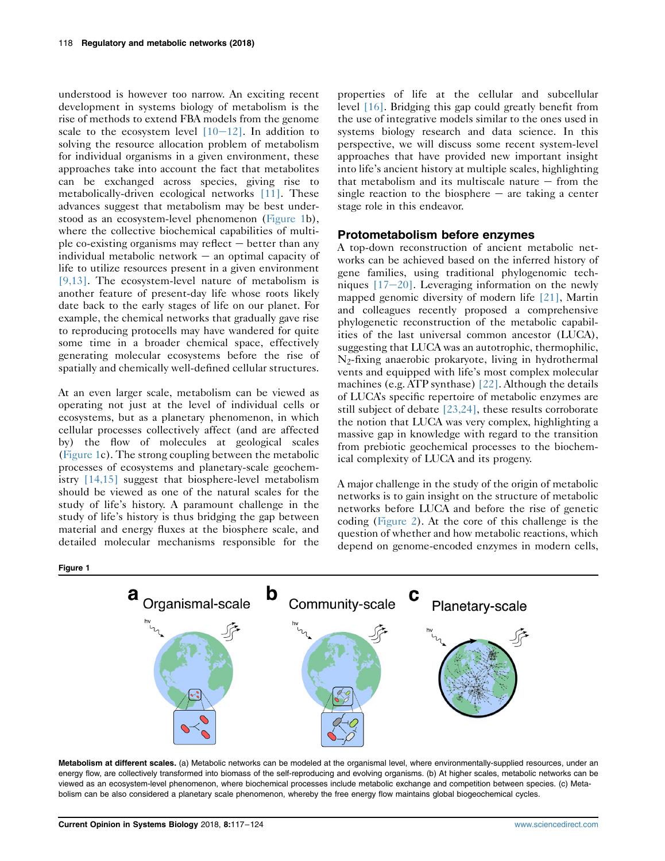understood is however too narrow. An exciting recent development in systems biology of metabolism is the rise of methods to extend FBA models from the genome scale to the ecosystem level  $[10-12]$  $[10-12]$ . In addition to solving the resource allocation problem of metabolism for individual organisms in a given environment, these approaches take into account the fact that metabolites can be exchanged across species, giving rise to metabolically-driven ecological networks [\[11\].](#page-5-0) These advances suggest that metabolism may be best understood as an ecosystem-level phenomenon (Figure 1b), where the collective biochemical capabilities of multiple co-existing organisms may reflect  $-$  better than any individual metabolic network  $-$  an optimal capacity of life to utilize resources present in a given environment [\[9,13\]](#page-5-0). The ecosystem-level nature of metabolism is another feature of present-day life whose roots likely date back to the early stages of life on our planet. For example, the chemical networks that gradually gave rise to reproducing protocells may have wandered for quite some time in a broader chemical space, effectively generating molecular ecosystems before the rise of spatially and chemically well-defined cellular structures.

At an even larger scale, metabolism can be viewed as operating not just at the level of individual cells or ecosystems, but as a planetary phenomenon, in which cellular processes collectively affect (and are affected by) the flow of molecules at geological scales (Figure 1c). The strong coupling between the metabolic processes of ecosystems and planetary-scale geochemistry [\[14,15\]](#page-5-0) suggest that biosphere-level metabolism should be viewed as one of the natural scales for the study of life's history. A paramount challenge in the study of life's history is thus bridging the gap between material and energy fluxes at the biosphere scale, and detailed molecular mechanisms responsible for the

properties of life at the cellular and subcellular level [\[16\].](#page-5-0) Bridging this gap could greatly benefit from the use of integrative models similar to the ones used in systems biology research and data science. In this perspective, we will discuss some recent system-level approaches that have provided new important insight into life's ancient history at multiple scales, highlighting that metabolism and its multiscale nature  $-$  from the single reaction to the biosphere  $-$  are taking a center stage role in this endeavor.

## Protometabolism before enzymes

A top-down reconstruction of ancient metabolic networks can be achieved based on the inferred history of gene families, using traditional phylogenomic techniques  $[17-20]$  $[17-20]$ . Leveraging information on the newly mapped genomic diversity of modern life [\[21\],](#page-5-0) Martin and colleagues recently proposed a comprehensive phylogenetic reconstruction of the metabolic capabilities of the last universal common ancestor (LUCA), suggesting that LUCA was an autotrophic, thermophilic, N2-fixing anaerobic prokaryote, living in hydrothermal vents and equipped with life's most complex molecular machines (e.g. ATP synthase) [\[22\]](#page-5-0). Although the details of LUCA's specific repertoire of metabolic enzymes are still subject of debate [\[23,24\]](#page-5-0), these results corroborate the notion that LUCA was very complex, highlighting a massive gap in knowledge with regard to the transition from prebiotic geochemical processes to the biochemical complexity of LUCA and its progeny.

A major challenge in the study of the origin of metabolic networks is to gain insight on the structure of metabolic networks before LUCA and before the rise of genetic coding ([Figure 2](#page-2-0)). At the core of this challenge is the question of whether and how metabolic reactions, which depend on genome-encoded enzymes in modern cells,





Metabolism at different scales. (a) Metabolic networks can be modeled at the organismal level, where environmentally-supplied resources, under an energy flow, are collectively transformed into biomass of the self-reproducing and evolving organisms. (b) At higher scales, metabolic networks can be viewed as an ecosystem-level phenomenon, where biochemical processes include metabolic exchange and competition between species. (c) Metabolism can be also considered a planetary scale phenomenon, whereby the free energy flow maintains global biogeochemical cycles.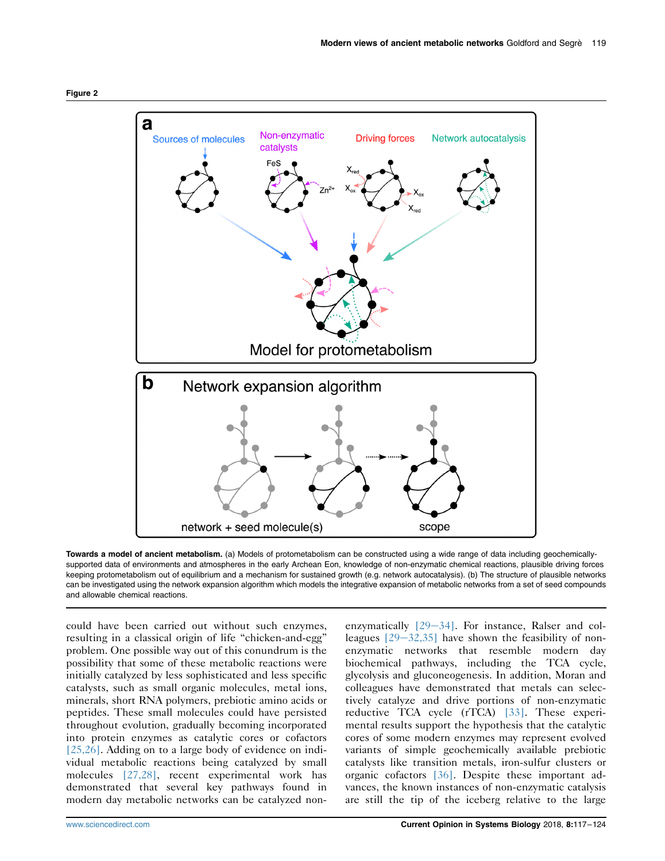<span id="page-2-0"></span>

Towards a model of ancient metabolism. (a) Models of protometabolism can be constructed using a wide range of data including geochemicallysupported data of environments and atmospheres in the early Archean Eon, knowledge of non-enzymatic chemical reactions, plausible driving forces keeping protometabolism out of equilibrium and a mechanism for sustained growth (e.g. network autocatalysis). (b) The structure of plausible networks can be investigated using the network expansion algorithm which models the integrative expansion of metabolic networks from a set of seed compounds and allowable chemical reactions.

could have been carried out without such enzymes, resulting in a classical origin of life "chicken-and-egg" problem. One possible way out of this conundrum is the possibility that some of these metabolic reactions were initially catalyzed by less sophisticated and less specific catalysts, such as small organic molecules, metal ions, minerals, short RNA polymers, prebiotic amino acids or peptides. These small molecules could have persisted throughout evolution, gradually becoming incorporated into protein enzymes as catalytic cores or cofactors [\[25,26\].](#page-6-0) Adding on to a large body of evidence on individual metabolic reactions being catalyzed by small molecules [\[27,28\],](#page-6-0) recent experimental work has demonstrated that several key pathways found in modern day metabolic networks can be catalyzed nonenzymatically  $[29-34]$  $[29-34]$  $[29-34]$ . For instance, Ralser and colleagues  $[29-32,35]$  $[29-32,35]$  $[29-32,35]$  have shown the feasibility of nonenzymatic networks that resemble modern day biochemical pathways, including the TCA cycle, glycolysis and gluconeogenesis. In addition, Moran and colleagues have demonstrated that metals can selectively catalyze and drive portions of non-enzymatic reductive TCA cycle (rTCA) [\[33\]](#page-6-0). These experimental results support the hypothesis that the catalytic cores of some modern enzymes may represent evolved variants of simple geochemically available prebiotic catalysts like transition metals, iron-sulfur clusters or organic cofactors [\[36\].](#page-6-0) Despite these important advances, the known instances of non-enzymatic catalysis are still the tip of the iceberg relative to the large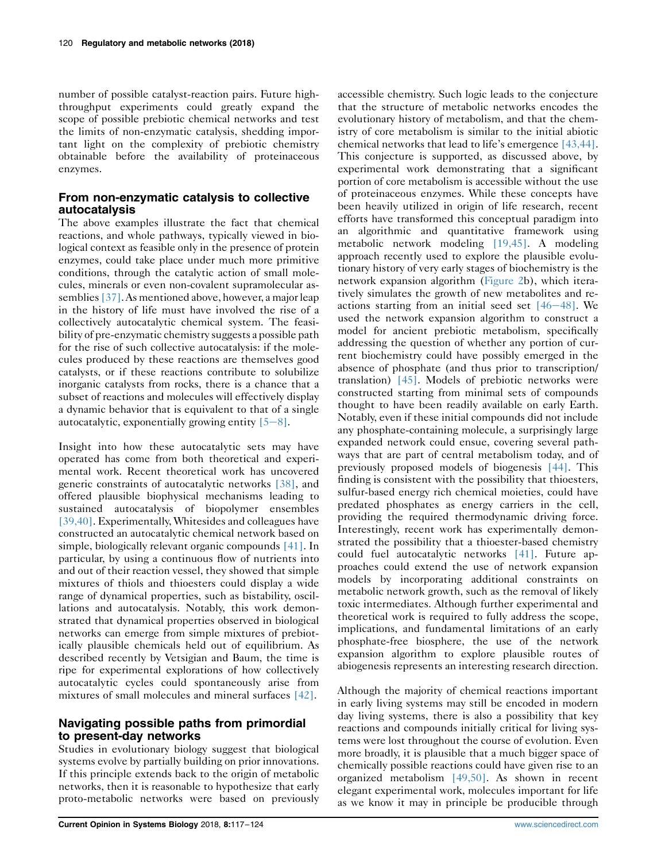number of possible catalyst-reaction pairs. Future highthroughput experiments could greatly expand the scope of possible prebiotic chemical networks and test the limits of non-enzymatic catalysis, shedding important light on the complexity of prebiotic chemistry obtainable before the availability of proteinaceous enzymes.

# From non-enzymatic catalysis to collective autocatalysis

The above examples illustrate the fact that chemical reactions, and whole pathways, typically viewed in biological context as feasible only in the presence of protein enzymes, could take place under much more primitive conditions, through the catalytic action of small molecules, minerals or even non-covalent supramolecular assemblies [\[37\].](#page-6-0) As mentioned above, however, a major leap in the history of life must have involved the rise of a collectively autocatalytic chemical system. The feasibility of pre-enzymatic chemistry suggests a possible path for the rise of such collective autocatalysis: if the molecules produced by these reactions are themselves good catalysts, or if these reactions contribute to solubilize inorganic catalysts from rocks, there is a chance that a subset of reactions and molecules will effectively display a dynamic behavior that is equivalent to that of a single autocatalytic, exponentially growing entity  $[5-8]$  $[5-8]$ .

Insight into how these autocatalytic sets may have operated has come from both theoretical and experimental work. Recent theoretical work has uncovered generic constraints of autocatalytic networks [\[38\]](#page-6-0), and offered plausible biophysical mechanisms leading to sustained autocatalysis of biopolymer ensembles [\[39,40\].](#page-6-0) Experimentally, Whitesides and colleagues have constructed an autocatalytic chemical network based on simple, biologically relevant organic compounds [\[41\].](#page-6-0) In particular, by using a continuous flow of nutrients into and out of their reaction vessel, they showed that simple mixtures of thiols and thioesters could display a wide range of dynamical properties, such as bistability, oscillations and autocatalysis. Notably, this work demonstrated that dynamical properties observed in biological networks can emerge from simple mixtures of prebiotically plausible chemicals held out of equilibrium. As described recently by Vetsigian and Baum, the time is ripe for experimental explorations of how collectively autocatalytic cycles could spontaneously arise from mixtures of small molecules and mineral surfaces [\[42\]](#page-6-0).

# Navigating possible paths from primordial to present-day networks

Studies in evolutionary biology suggest that biological systems evolve by partially building on prior innovations. If this principle extends back to the origin of metabolic networks, then it is reasonable to hypothesize that early proto-metabolic networks were based on previously

accessible chemistry. Such logic leads to the conjecture that the structure of metabolic networks encodes the evolutionary history of metabolism, and that the chemistry of core metabolism is similar to the initial abiotic chemical networks that lead to life's emergence [\[43,44\].](#page-6-0) This conjecture is supported, as discussed above, by experimental work demonstrating that a significant portion of core metabolism is accessible without the use of proteinaceous enzymes. While these concepts have been heavily utilized in origin of life research, recent efforts have transformed this conceptual paradigm into an algorithmic and quantitative framework using metabolic network modeling [\[19,45\].](#page-5-0) A modeling approach recently used to explore the plausible evolutionary history of very early stages of biochemistry is the network expansion algorithm [\(Figure 2b](#page-2-0)), which iteratively simulates the growth of new metabolites and reactions starting from an initial seed set  $[46-48]$  $[46-48]$ . We used the network expansion algorithm to construct a model for ancient prebiotic metabolism, specifically addressing the question of whether any portion of current biochemistry could have possibly emerged in the absence of phosphate (and thus prior to transcription/ translation) [\[45\].](#page-6-0) Models of prebiotic networks were constructed starting from minimal sets of compounds thought to have been readily available on early Earth. Notably, even if these initial compounds did not include any phosphate-containing molecule, a surprisingly large expanded network could ensue, covering several pathways that are part of central metabolism today, and of previously proposed models of biogenesis [\[44\]](#page-6-0). This finding is consistent with the possibility that thioesters, sulfur-based energy rich chemical moieties, could have predated phosphates as energy carriers in the cell, providing the required thermodynamic driving force. Interestingly, recent work has experimentally demonstrated the possibility that a thioester-based chemistry could fuel autocatalytic networks [\[41\].](#page-6-0) Future approaches could extend the use of network expansion models by incorporating additional constraints on metabolic network growth, such as the removal of likely toxic intermediates. Although further experimental and theoretical work is required to fully address the scope, implications, and fundamental limitations of an early phosphate-free biosphere, the use of the network expansion algorithm to explore plausible routes of abiogenesis represents an interesting research direction.

Although the majority of chemical reactions important in early living systems may still be encoded in modern day living systems, there is also a possibility that key reactions and compounds initially critical for living systems were lost throughout the course of evolution. Even more broadly, it is plausible that a much bigger space of chemically possible reactions could have given rise to an organized metabolism [\[49,50\]](#page-6-0). As shown in recent elegant experimental work, molecules important for life as we know it may in principle be producible through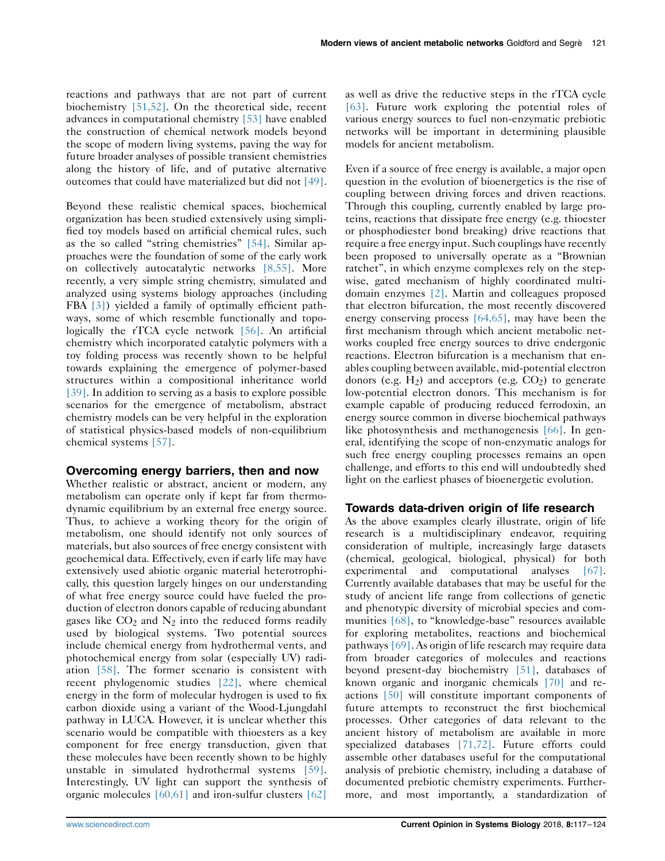reactions and pathways that are not part of current biochemistry [\[51,52\]](#page-6-0). On the theoretical side, recent advances in computational chemistry [\[53\]](#page-6-0) have enabled the construction of chemical network models beyond the scope of modern living systems, paving the way for future broader analyses of possible transient chemistries along the history of life, and of putative alternative outcomes that could have materialized but did not [\[49\].](#page-6-0)

Beyond these realistic chemical spaces, biochemical organization has been studied extensively using simplified toy models based on artificial chemical rules, such as the so called "string chemistries" [\[54\]](#page-6-0). Similar approaches were the foundation of some of the early work on collectively autocatalytic networks [\[8,55\].](#page-5-0) More recently, a very simple string chemistry, simulated and analyzed using systems biology approaches (including FBA [\[3\]\)](#page-5-0) yielded a family of optimally efficient pathways, some of which resemble functionally and topo-logically the rTCA cycle network [\[56\]](#page-6-0). An artificial chemistry which incorporated catalytic polymers with a toy folding process was recently shown to be helpful towards explaining the emergence of polymer-based structures within a compositional inheritance world [\[39\].](#page-6-0) In addition to serving as a basis to explore possible scenarios for the emergence of metabolism, abstract chemistry models can be very helpful in the exploration of statistical physics-based models of non-equilibrium chemical systems [\[57\]](#page-6-0).

## Overcoming energy barriers, then and now

Whether realistic or abstract, ancient or modern, any metabolism can operate only if kept far from thermodynamic equilibrium by an external free energy source. Thus, to achieve a working theory for the origin of metabolism, one should identify not only sources of materials, but also sources of free energy consistent with geochemical data. Effectively, even if early life may have extensively used abiotic organic material heterotrophically, this question largely hinges on our understanding of what free energy source could have fueled the production of electron donors capable of reducing abundant gases like  $CO<sub>2</sub>$  and  $N<sub>2</sub>$  into the reduced forms readily used by biological systems. Two potential sources include chemical energy from hydrothermal vents, and photochemical energy from solar (especially UV) radiation [\[58\].](#page-6-0) The former scenario is consistent with recent phylogenomic studies [\[22\],](#page-5-0) where chemical energy in the form of molecular hydrogen is used to fix carbon dioxide using a variant of the Wood-Ljungdahl pathway in LUCA. However, it is unclear whether this scenario would be compatible with thioesters as a key component for free energy transduction, given that these molecules have been recently shown to be highly unstable in simulated hydrothermal systems [\[59\].](#page-6-0) Interestingly, UV light can support the synthesis of organic molecules [\[60,61\]](#page-6-0) and iron-sulfur clusters [\[62\]](#page-7-0)

as well as drive the reductive steps in the rTCA cycle [\[63\]](#page-7-0). Future work exploring the potential roles of various energy sources to fuel non-enzymatic prebiotic networks will be important in determining plausible models for ancient metabolism.

Even if a source of free energy is available, a major open question in the evolution of bioenergetics is the rise of coupling between driving forces and driven reactions. Through this coupling, currently enabled by large proteins, reactions that dissipate free energy (e.g. thioester or phosphodiester bond breaking) drive reactions that require a free energy input. Such couplings have recently been proposed to universally operate as a "Brownian ratchet", in which enzyme complexes rely on the stepwise, gated mechanism of highly coordinated multidomain enzymes [\[2\].](#page-5-0) Martin and colleagues proposed that electron bifurcation, the most recently discovered energy conserving process [\[64,65\],](#page-7-0) may have been the first mechanism through which ancient metabolic networks coupled free energy sources to drive endergonic reactions. Electron bifurcation is a mechanism that enables coupling between available, mid-potential electron donors (e.g.  $H_2$ ) and acceptors (e.g.  $CO_2$ ) to generate low-potential electron donors. This mechanism is for example capable of producing reduced ferrodoxin, an energy source common in diverse biochemical pathways like photosynthesis and methanogenesis [\[66\]](#page-7-0). In general, identifying the scope of non-enzymatic analogs for such free energy coupling processes remains an open challenge, and efforts to this end will undoubtedly shed light on the earliest phases of bioenergetic evolution.

## Towards data-driven origin of life research

As the above examples clearly illustrate, origin of life research is a multidisciplinary endeavor, requiring consideration of multiple, increasingly large datasets (chemical, geological, biological, physical) for both experimental and computational analyses [\[67\].](#page-7-0) Currently available databases that may be useful for the study of ancient life range from collections of genetic and phenotypic diversity of microbial species and com-munities [\[68\],](#page-7-0) to "knowledge-base" resources available for exploring metabolites, reactions and biochemical pathways [\[69\].](#page-7-0) As origin of life research may require data from broader categories of molecules and reactions beyond present-day biochemistry [\[51\],](#page-6-0) databases of known organic and inorganic chemicals [\[70\]](#page-7-0) and reactions [\[50\]](#page-6-0) will constitute important components of future attempts to reconstruct the first biochemical processes. Other categories of data relevant to the ancient history of metabolism are available in more specialized databases [\[71,72\]](#page-7-0). Future efforts could assemble other databases useful for the computational analysis of prebiotic chemistry, including a database of documented prebiotic chemistry experiments. Furthermore, and most importantly, a standardization of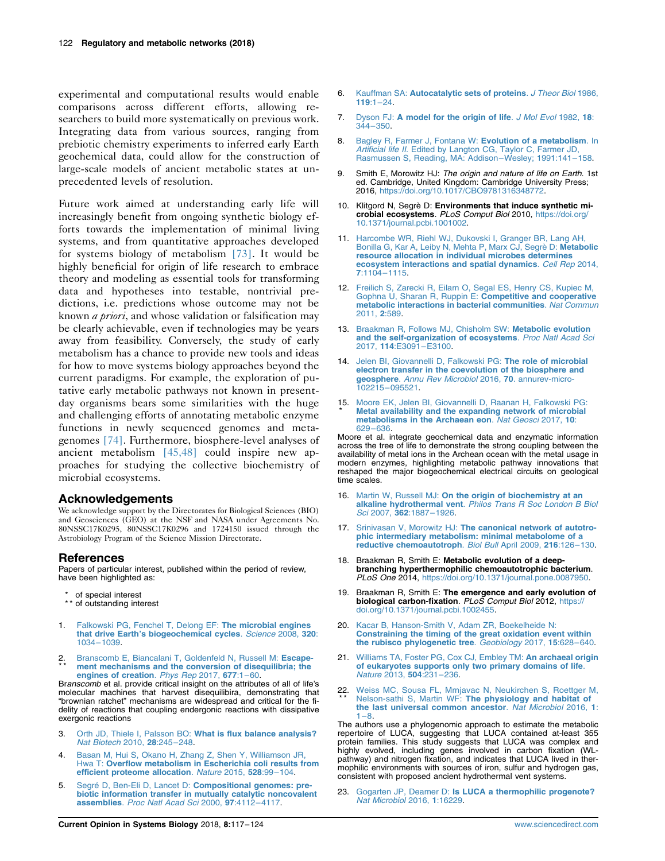<span id="page-5-0"></span>experimental and computational results would enable comparisons across different efforts, allowing researchers to build more systematically on previous work. Integrating data from various sources, ranging from prebiotic chemistry experiments to inferred early Earth geochemical data, could allow for the construction of large-scale models of ancient metabolic states at unprecedented levels of resolution.

Future work aimed at understanding early life will increasingly benefit from ongoing synthetic biology efforts towards the implementation of minimal living systems, and from quantitative approaches developed for systems biology of metabolism [\[73\]](#page-7-0). It would be highly beneficial for origin of life research to embrace theory and modeling as essential tools for transforming data and hypotheses into testable, nontrivial predictions, i.e. predictions whose outcome may not be known a priori, and whose validation or falsification may be clearly achievable, even if technologies may be years away from feasibility. Conversely, the study of early metabolism has a chance to provide new tools and ideas for how to move systems biology approaches beyond the current paradigms. For example, the exploration of putative early metabolic pathways not known in presentday organisms bears some similarities with the huge and challenging efforts of annotating metabolic enzyme functions in newly sequenced genomes and metagenomes [\[74\].](#page-7-0) Furthermore, biosphere-level analyses of ancient metabolism [\[45,48\]](#page-6-0) could inspire new approaches for studying the collective biochemistry of microbial ecosystems.

## Acknowledgements

We acknowledge support by the Directorates for Biological Sciences (BIO) and Geosciences (GEO) at the NSF and NASA under Agreements No. 80NSSC17K0295, 80NSSC17K0296 and 1724150 issued through the Astrobiology Program of the Science Mission Directorate.

#### References

Papers of particular interest, published within the period of review, have been highlighted as:

- of special interest
- \*\* of outstanding interest
- 1. [Falkowski PG, Fenchel T, Delong EF:](http://refhub.elsevier.com/S2452-3100(17)30219-6/sref1) The microbial engines that drive Earth'[s biogeochemical cycles](http://refhub.elsevier.com/S2452-3100(17)30219-6/sref1). Science 2008, 320: 1034–[1039.](http://refhub.elsevier.com/S2452-3100(17)30219-6/sref1)
- 2 \* \* . [Branscomb E, Biancalani T, Goldenfeld N, Russell M:](http://refhub.elsevier.com/S2452-3100(17)30219-6/sref2) Escape[ment mechanisms and the conversion of disequilibria; the](http://refhub.elsevier.com/S2452-3100(17)30219-6/sref2) [engines of creation](http://refhub.elsevier.com/S2452-3100(17)30219-6/sref2). Phys Rep 2017, 677:1–60.

Branscomb et al. provide critical insight on the attributes of all of life's molecular machines that harvest disequilibira, demonstrating that "brownian ratchet" mechanisms are widespread and critical for the fidelity of reactions that coupling endergonic reactions with dissipative exergonic reactions

- 3. Orth JD, Thiele I, Palsson BO: [What is flux balance analysis?](http://refhub.elsevier.com/S2452-3100(17)30219-6/sref3) [Nat Biotech](http://refhub.elsevier.com/S2452-3100(17)30219-6/sref3) 2010, 28:245–248.
- 4. [Basan M, Hui S, Okano H, Zhang Z, Shen Y, Williamson JR,](http://refhub.elsevier.com/S2452-3100(17)30219-6/sref4) Hwa T: [Overflow metabolism in Escherichia coli results from](http://refhub.elsevier.com/S2452-3100(17)30219-6/sref4) [efficient proteome allocation](http://refhub.elsevier.com/S2452-3100(17)30219-6/sref4). Nature 2015, 528:99–104.
- 5. Segré D, Ben-Eli D, Lancet D: [Compositional genomes: pre](http://refhub.elsevier.com/S2452-3100(17)30219-6/sref5)[biotic information transfer in mutually catalytic noncovalent](http://refhub.elsevier.com/S2452-3100(17)30219-6/sref5) assemblies. [Proc Natl Acad Sci](http://refhub.elsevier.com/S2452-3100(17)30219-6/sref5) 2000, 97:4112–4117.
- 6. Kauffman SA: [Autocatalytic sets of proteins](http://refhub.elsevier.com/S2452-3100(17)30219-6/sref6). J Theor Biol 1986,  $119:1 - 24$  $119:1 - 24$
- 7. Dyson FJ: [A model for the origin of life](http://refhub.elsevier.com/S2452-3100(17)30219-6/sref7). J Mol Evol 1982, 18: [344](http://refhub.elsevier.com/S2452-3100(17)30219-6/sref7)–350.
- 8. [Bagley R, Farmer J, Fontana W:](http://refhub.elsevier.com/S2452-3100(17)30219-6/sref8) Evolution of a metabolism. In Artificial life II[. Edited by Langton CG, Taylor C, Farmer JD,](http://refhub.elsevier.com/S2452-3100(17)30219-6/sref8) [Rasmussen S, Reading, MA: Addison](http://refhub.elsevier.com/S2452-3100(17)30219-6/sref8)–Wesley; 1991:141–158.
- 9. Smith E, Morowitz HJ: The origin and nature of life on Earth. 1st ed. Cambridge, United Kingdom: Cambridge University Press; 2016, <https://doi.org/10.1017/CBO9781316348772>.
- 10. Klitgord N, Segrè D: Environments that induce synthetic microbial ecosystems. PLoS Comput Biol 2010, [https://doi.org/](https://doi.org/10.1371/journal.pcbi.1001002) [10.1371/journal.pcbi.1001002.](https://doi.org/10.1371/journal.pcbi.1001002)
- 11. [Harcombe WR, Riehl WJ, Dukovski I, Granger BR, Lang AH,](http://refhub.elsevier.com/S2452-3100(17)30219-6/sref11) [Bonilla G, Kar A, Leiby N, Mehta P, Marx CJ, Segrè D:](http://refhub.elsevier.com/S2452-3100(17)30219-6/sref11) Metabolic [resource allocation in individual microbes determines](http://refhub.elsevier.com/S2452-3100(17)30219-6/sref11) [ecosystem interactions and spatial dynamics](http://refhub.elsevier.com/S2452-3100(17)30219-6/sref11). Cell Rep 2014, 7[:1104](http://refhub.elsevier.com/S2452-3100(17)30219-6/sref11)–1115.
- 12. [Freilich S, Zarecki R, Eilam O, Segal ES, Henry CS, Kupiec M,](http://refhub.elsevier.com/S2452-3100(17)30219-6/sref12) [Gophna U, Sharan R, Ruppin E:](http://refhub.elsevier.com/S2452-3100(17)30219-6/sref12) **Competitive and cooperative** [metabolic interactions in bacterial communities](http://refhub.elsevier.com/S2452-3100(17)30219-6/sref12). Nat Commun [2011,](http://refhub.elsevier.com/S2452-3100(17)30219-6/sref12) 2:589.
- 13. [Braakman R, Follows MJ, Chisholm SW:](http://refhub.elsevier.com/S2452-3100(17)30219-6/sref13) Metabolic evolution [and the self-organization of ecosystems](http://refhub.elsevier.com/S2452-3100(17)30219-6/sref13). Proc Natl Acad Sci 2017, 114[:E3091](http://refhub.elsevier.com/S2452-3100(17)30219-6/sref13)–E3100.
- 14. [Jelen BI, Giovannelli D, Falkowski PG:](http://refhub.elsevier.com/S2452-3100(17)30219-6/sref14) The role of microbial [electron transfer in the coevolution of the biosphere and](http://refhub.elsevier.com/S2452-3100(17)30219-6/sref14) geosphere. [Annu Rev Microbiol](http://refhub.elsevier.com/S2452-3100(17)30219-6/sref14) 2016, 70. annurev-micro-[102215](http://refhub.elsevier.com/S2452-3100(17)30219-6/sref14)–095521.
- 15 . [Moore EK, Jelen BI, Giovannelli D, Raanan H, Falkowski PG:](http://refhub.elsevier.com/S2452-3100(17)30219-6/sref15) \* [Metal availability and the expanding network of microbial](http://refhub.elsevier.com/S2452-3100(17)30219-6/sref15) [metabolisms in the Archaean eon](http://refhub.elsevier.com/S2452-3100(17)30219-6/sref15). Nat Geosci 2017, 10: 629–[636.](http://refhub.elsevier.com/S2452-3100(17)30219-6/sref15)

Moore et al. integrate geochemical data and enzymatic information across the tree of life to demonstrate the strong coupling between the availability of metal ions in the Archean ocean with the metal usage in modern enzymes, highlighting metabolic pathway innovations that reshaped the major biogeochemical electrical circuits on geological time scales.

- 16. Martin W, Russell MJ: [On the origin of biochemistry at an](http://refhub.elsevier.com/S2452-3100(17)30219-6/sref16) alkaline hydrothermal vent. [Philos Trans R Soc London B Biol](http://refhub.elsevier.com/S2452-3100(17)30219-6/sref16) Sci 2007, 362[:1887](http://refhub.elsevier.com/S2452-3100(17)30219-6/sref16)–1926.
- 17. Srinivasan V, Morowitz HJ: [The canonical network of autotro](http://refhub.elsevier.com/S2452-3100(17)30219-6/sref17)[phic intermediary metabolism: minimal metabolome of a](http://refhub.elsevier.com/S2452-3100(17)30219-6/sref17) [reductive chemoautotroph](http://refhub.elsevier.com/S2452-3100(17)30219-6/sref17). Biol Bull April 2009, 216:126–130.
- 18. Braakman R, Smith E: Metabolic evolution of a deepbranching hyperthermophilic chemoautotrophic bacterium. PLoS One 2014, <https://doi.org/10.1371/journal.pone.0087950>.
- 19. Braakman R, Smith E: The emergence and early evolution of biological carbon-fixation. PLoS Comput Biol 2012, [https://](https://doi.org/10.1371/journal.pcbi.1002455) [doi.org/10.1371/journal.pcbi.1002455.](https://doi.org/10.1371/journal.pcbi.1002455)
- 20. [Kacar B, Hanson-Smith V, Adam ZR, Boekelheide N:](http://refhub.elsevier.com/S2452-3100(17)30219-6/sref20) [Constraining the timing of the great oxidation event within](http://refhub.elsevier.com/S2452-3100(17)30219-6/sref20) [the rubisco phylogenetic tree](http://refhub.elsevier.com/S2452-3100(17)30219-6/sref20). Geobiology 2017, 15:628–640.
- 21. [Williams TA, Foster PG, Cox CJ, Embley TM:](http://refhub.elsevier.com/S2452-3100(17)30219-6/sref21) An archaeal origin [of eukaryotes supports only two primary domains of life](http://refhub.elsevier.com/S2452-3100(17)30219-6/sref21). [Nature](http://refhub.elsevier.com/S2452-3100(17)30219-6/sref21) 2013, 504:231–236.
- 22. [Weiss MC, Sousa FL, Mrnjavac N, Neukirchen S, Roettger M,](http://refhub.elsevier.com/S2452-3100(17)30219-6/sref22)<br>\*\* Nelson-sathi S, Martin WF: [The physiology and habitat of](http://refhub.elsevier.com/S2452-3100(17)30219-6/sref22) [the last universal common ancestor](http://refhub.elsevier.com/S2452-3100(17)30219-6/sref22). Nat Microbiol 2016, 1:  $1 - 8$

The authors use a phylogenomic approach to estimate the metabolic repertoire of LUCA, suggesting that LUCA contained at-least 355 protein families. This study suggests that LUCA was complex and highly evolved, including genes involved in carbon fixation (WL-pathway) and nitrogen fixation, and indicates that LUCA lived in thermophilic environments with sources of iron, sulfur and hydrogen gas, consistent with proposed ancient hydrothermal vent systems.

Gogarten JP, Deamer D: [Is LUCA a thermophilic progenote?](http://refhub.elsevier.com/S2452-3100(17)30219-6/sref23) [Nat Microbiol](http://refhub.elsevier.com/S2452-3100(17)30219-6/sref23) 2016, 1:16229.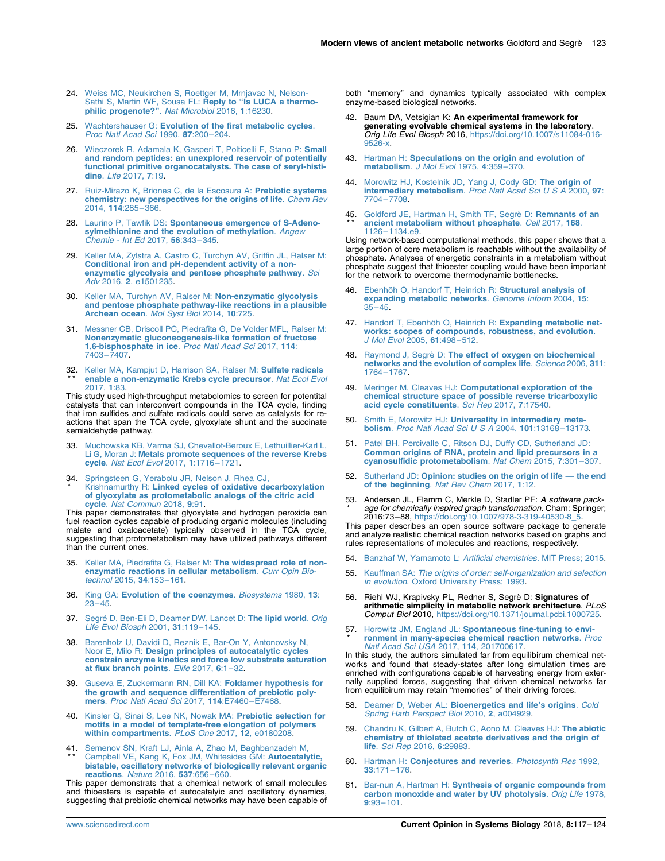- <span id="page-6-0"></span>24. Weiss MC, Neukirchen S, Roettger M, Mrnjavac N, Nelson-[Sathi S, Martin WF, Sousa FL:](http://refhub.elsevier.com/S2452-3100(17)30219-6/sref24) **Reply to "Is LUCA a thermo-**<br>**[philic progenote?](http://refhub.elsevier.com/S2452-3100(17)30219-6/sref24)"**. *Nat Microbiol* 2016, 1:16230.
- 25. Wachtershauser G: [Evolution of the first metabolic cycles](http://refhub.elsevier.com/S2452-3100(17)30219-6/sref25). [Proc Natl Acad Sci](http://refhub.elsevier.com/S2452-3100(17)30219-6/sref25) 1990, 87:200–204.
- 26. [Wieczorek R, Adamala K, Gasperi T, Polticelli F, Stano P:](http://refhub.elsevier.com/S2452-3100(17)30219-6/sref26) Small [and random peptides: an unexplored reservoir of potentially](http://refhub.elsevier.com/S2452-3100(17)30219-6/sref26) [functional primitive organocatalysts. The case of seryl-histi](http://refhub.elsevier.com/S2452-3100(17)30219-6/sref26)dine. *Life* [2017,](http://refhub.elsevier.com/S2452-3100(17)30219-6/sref26) **7:19.**
- 27. [Ruiz-Mirazo K, Briones C, de la Escosura A:](http://refhub.elsevier.com/S2452-3100(17)30219-6/sref27) Prebiotic systems [chemistry: new perspectives for the origins of life](http://refhub.elsevier.com/S2452-3100(17)30219-6/sref27). Chem Rev [2014,](http://refhub.elsevier.com/S2452-3100(17)30219-6/sref27) 114:285–366.
- 28. Laurino P, Tawfik DS: [Spontaneous emergence of S-Adeno](http://refhub.elsevier.com/S2452-3100(17)30219-6/sref28)[sylmethionine and the evolution of methylation](http://refhub.elsevier.com/S2452-3100(17)30219-6/sref28). Angew [Chemie - Int Ed](http://refhub.elsevier.com/S2452-3100(17)30219-6/sref28) 2017, 56:343–345.
- 29. [Keller MA, Zylstra A, Castro C, Turchyn AV, Griffin JL, Ralser M:](http://refhub.elsevier.com/S2452-3100(17)30219-6/sref29) [Conditional iron and pH-dependent activity of a non](http://refhub.elsevier.com/S2452-3100(17)30219-6/sref29)[enzymatic glycolysis and pentose phosphate pathway](http://refhub.elsevier.com/S2452-3100(17)30219-6/sref29). Sci Adv 2016, 2[, e1501235](http://refhub.elsevier.com/S2452-3100(17)30219-6/sref29).
- 30. [Keller MA, Turchyn AV, Ralser M:](http://refhub.elsevier.com/S2452-3100(17)30219-6/sref30) Non-enzymatic glycolysis [and pentose phosphate pathway-like reactions in a plausible](http://refhub.elsevier.com/S2452-3100(17)30219-6/sref30) [Archean ocean](http://refhub.elsevier.com/S2452-3100(17)30219-6/sref30). Mol Syst Biol 2014, 10:725.
- 31. [Messner CB, Driscoll PC, Piedrafita G, De Volder MFL, Ralser M:](http://refhub.elsevier.com/S2452-3100(17)30219-6/sref31) [Nonenzymatic gluconeogenesis-like formation of fructose](http://refhub.elsevier.com/S2452-3100(17)30219-6/sref31) [1,6-bisphosphate in ice](http://refhub.elsevier.com/S2452-3100(17)30219-6/sref31). Proc Natl Acad Sci 2017, 114: [7403](http://refhub.elsevier.com/S2452-3100(17)30219-6/sref31)–7407.
- 32. [Keller MA, Kampjut D, Harrison SA, Ralser M:](http://refhub.elsevier.com/S2452-3100(17)30219-6/sref32) Sulfate radicals \* \* [enable a non-enzymatic Krebs cycle precursor](http://refhub.elsevier.com/S2452-3100(17)30219-6/sref32). Nat Ecol Evol [2017,](http://refhub.elsevier.com/S2452-3100(17)30219-6/sref32) 1:83.

This study used high-throughput metabolomics to screen for potentital catalysts that can interconvert compounds in the TCA cycle, finding that iron sulfides and sulfate radicals could serve as catalysts for reactions that span the TCA cycle, glyoxylate shunt and the succinate semialdehyde pathway.

- 33. [Muchowska KB, Varma SJ, Chevallot-Beroux E, Lethuillier-Karl L,](http://refhub.elsevier.com/S2452-3100(17)30219-6/sref33) Li G, Moran J: **[Metals promote sequences of the reverse Krebs](http://refhub.elsevier.com/S2452-3100(17)30219-6/sref33)**<br>**cycle**. *[Nat Ecol Evol](http://refhub.elsevier.com/S2452-3100(17)30219-6/sref33)* 2017, 1:1716–1721.
- 34 \* . [Springsteen G, Yerabolu JR, Nelson J, Rhea CJ,](http://refhub.elsevier.com/S2452-3100(17)30219-6/sref34) Krishnamurthy R: [Linked cycles of oxidative decarboxylation](http://refhub.elsevier.com/S2452-3100(17)30219-6/sref34) [of glyoxylate as protometabolic analogs of the citric acid](http://refhub.elsevier.com/S2452-3100(17)30219-6/sref34) cycle. [Nat Commun](http://refhub.elsevier.com/S2452-3100(17)30219-6/sref34) 2018, 9:91.

This paper demonstrates that glyoxylate and hydrogen peroxide can fuel reaction cycles capable of producing organic molecules (including malate and oxaloacetate) typically observed in the TCA cycle, suggesting that protometabolism may have utilized pathways different than the current ones.

- 35. [Keller MA, Piedrafita G, Ralser M:](http://refhub.elsevier.com/S2452-3100(17)30219-6/sref35) The widespread role of non[enzymatic reactions in cellular metabolism](http://refhub.elsevier.com/S2452-3100(17)30219-6/sref35). Curr Opin Bio[technol](http://refhub.elsevier.com/S2452-3100(17)30219-6/sref35) 2015, 34:153–161.
- 36. King GA: [Evolution of the coenzymes](http://refhub.elsevier.com/S2452-3100(17)30219-6/sref36). Biosystems 1980, 13: 23–[45.](http://refhub.elsevier.com/S2452-3100(17)30219-6/sref36)
- 37. [Segré D, Ben-Eli D, Deamer DW, Lancet D:](http://refhub.elsevier.com/S2452-3100(17)30219-6/sref37) The lipid world. Orig [Life Evol Biosph](http://refhub.elsevier.com/S2452-3100(17)30219-6/sref37) 2001, 31:119–145.
- 38. [Barenholz U, Davidi D, Reznik E, Bar-On Y, Antonovsky N,](http://refhub.elsevier.com/S2452-3100(17)30219-6/sref38) Noor E, Milo R: [Design principles of autocatalytic cycles](http://refhub.elsevier.com/S2452-3100(17)30219-6/sref38) [constrain enzyme kinetics and force low substrate saturation](http://refhub.elsevier.com/S2452-3100(17)30219-6/sref38) [at flux branch points](http://refhub.elsevier.com/S2452-3100(17)30219-6/sref38). Elife 2017, 6:1–32.
- 39. [Guseva E, Zuckermann RN, Dill KA:](http://refhub.elsevier.com/S2452-3100(17)30219-6/sref39) Foldamer hypothesis for [the growth and sequence differentiation of prebiotic poly](http://refhub.elsevier.com/S2452-3100(17)30219-6/sref39)mers. [Proc Natl Acad Sci](http://refhub.elsevier.com/S2452-3100(17)30219-6/sref39) 2017, 114:E7460–E7468.
- 40. [Kinsler G, Sinai S, Lee NK, Nowak MA:](http://refhub.elsevier.com/S2452-3100(17)30219-6/sref40) Prebiotic selection for [motifs in a model of template-free elongation of polymers](http://refhub.elsevier.com/S2452-3100(17)30219-6/sref40) [within compartments](http://refhub.elsevier.com/S2452-3100(17)30219-6/sref40). PLoS One 2017, 12, e0180208.
- 41 \* \* . [Semenov SN, Kraft LJ, Ainla A, Zhao M, Baghbanzadeh M,](http://refhub.elsevier.com/S2452-3100(17)30219-6/sref41) [Campbell VE, Kang K, Fox JM, Whitesides GM:](http://refhub.elsevier.com/S2452-3100(17)30219-6/sref41) Autocatalytic, [bistable, oscillatory networks of biologically relevant organic](http://refhub.elsevier.com/S2452-3100(17)30219-6/sref41) [reactions](http://refhub.elsevier.com/S2452-3100(17)30219-6/sref41). Nature 2016, 537:656–660.

This paper demonstrats that a chemical network of small molecules and thioesters is capable of autocatalyic and oscillatory dynamics, suggesting that prebiotic chemical networks may have been capable of both "memory" and dynamics typically associated with complex enzyme-based biological networks.

- 42. Baum DA, Vetsigian K: An experimental framework for generating evolvable chemical systems in the laboratory. Orig Life Evol Biosph 2016, [https://doi.org/10.1007/s11084-016-](https://doi.org/10.1007/s11084-016-9526-x) [9526-x.](https://doi.org/10.1007/s11084-016-9526-x)
- 43. Hartman H: [Speculations on the origin and evolution of](http://refhub.elsevier.com/S2452-3100(17)30219-6/sref43) [metabolism](http://refhub.elsevier.com/S2452-3100(17)30219-6/sref43). J Mol Evol 1975, 4:359–370.
- 44. [Morowitz HJ, Kostelnik JD, Yang J, Cody GD:](http://refhub.elsevier.com/S2452-3100(17)30219-6/sref44) The origin of [intermediary metabolism](http://refhub.elsevier.com/S2452-3100(17)30219-6/sref44). Proc Natl Acad Sci U S A 2000, 97: [7704](http://refhub.elsevier.com/S2452-3100(17)30219-6/sref44)–7708.
- 45. [Goldford JE, Hartman H, Smith TF, Segrè D:](http://refhub.elsevier.com/S2452-3100(17)30219-6/sref45) Remnants of an \* \* [ancient metabolism without phosphate](http://refhub.elsevier.com/S2452-3100(17)30219-6/sref45). Cell 2017, 168. 1126–[1134.e9](http://refhub.elsevier.com/S2452-3100(17)30219-6/sref45).

Using network-based computational methods, this paper shows that a large portion of core metabolism is reachable without the availability of phosphate. Analyses of energetic constraints in a metabolism without phosphate suggest that thioester coupling would have been important for the network to overcome thermodynamic bottlenecks.

- 46. [Ebenhöh O, Handorf T, Heinrich R:](http://refhub.elsevier.com/S2452-3100(17)30219-6/sref46) Structural analysis of [expanding metabolic networks](http://refhub.elsevier.com/S2452-3100(17)30219-6/sref46). Genome Inform 2004, 15: [35](http://refhub.elsevier.com/S2452-3100(17)30219-6/sref46)–45.
- 47. [Handorf T, Ebenhöh O, Heinrich R:](http://refhub.elsevier.com/S2452-3100(17)30219-6/sref47) Expanding metabolic net[works: scopes of compounds, robustness, and evolution](http://refhub.elsevier.com/S2452-3100(17)30219-6/sref47). [J Mol Evol](http://refhub.elsevier.com/S2452-3100(17)30219-6/sref47) 2005, 61:498–512.
- 48. Raymond J, Segrè D: [The effect of oxygen on biochemical](http://refhub.elsevier.com/S2452-3100(17)30219-6/sref48) [networks and the evolution of complex life](http://refhub.elsevier.com/S2452-3100(17)30219-6/sref48). Science 2006, 311: [1764](http://refhub.elsevier.com/S2452-3100(17)30219-6/sref48)–1767.
- 49. Meringer M, Cleaves HJ: [Computational exploration of the](http://refhub.elsevier.com/S2452-3100(17)30219-6/sref49) [chemical structure space of possible reverse tricarboxylic](http://refhub.elsevier.com/S2452-3100(17)30219-6/sref49)<br>[acid cycle constituents](http://refhub.elsevier.com/S2452-3100(17)30219-6/sref49). Sci Rep 2017, 7:17540.
- 50. Smith E, Morowitz HJ: [Universality in intermediary meta](http://refhub.elsevier.com/S2452-3100(17)30219-6/sref50)bolism. [Proc Natl Acad Sci U S A](http://refhub.elsevier.com/S2452-3100(17)30219-6/sref50) 2004, 101:13168–13173.
- 51. [Patel BH, Percivalle C, Ritson DJ, Duffy CD, Sutherland JD:](http://refhub.elsevier.com/S2452-3100(17)30219-6/sref51) [Common origins of RNA, protein and lipid precursors in a](http://refhub.elsevier.com/S2452-3100(17)30219-6/sref51) [cyanosulfidic protometabolism](http://refhub.elsevier.com/S2452-3100(17)30219-6/sref51). Nat Chem 2015, 7:301–307.
- 52. Sutherland JD: [Opinion: studies on the origin of life](http://refhub.elsevier.com/S2452-3100(17)30219-6/sref52) the end [of the beginning](http://refhub.elsevier.com/S2452-3100(17)30219-6/sref52). Nat Rev Chem 2017, 1:12.
- 53. Andersen JL, Flamm C, Merkle D, Stadler PF: A software pack-\* age for chemically inspired graph transformation. Cham: Springer; 2016:73–88, [https://doi.org/10.1007/978-3-319-40530-8\\_5](https://doi.org/10.1007/978-3-319-40530-8_5).

This paper describes an open source software package to generate and analyze realistic chemical reaction networks based on graphs and rules representations of molecules and reactions, respectively.

- 54. [Banzhaf W, Yamamoto L:](http://refhub.elsevier.com/S2452-3100(17)30219-6/sref54) Artificial chemistries. MIT Press; 2015.
- 55. Kauffman SA: [The origins of order: self-organization and selection](http://refhub.elsevier.com/S2452-3100(17)30219-6/sref55) in evolution[. Oxford University Press; 1993](http://refhub.elsevier.com/S2452-3100(17)30219-6/sref55).
- 56. Riehl WJ, Krapivsky PL, Redner S, Segrè D: Signatures of arithmetic simplicity in metabolic network architecture. PLoS Comput Biol 2010, [https://doi.org/10.1371/journal.pcbi.1000725.](https://doi.org/10.1371/journal.pcbi.1000725)
- 57. Horowitz JM, England JL: [Spontaneous fine-tuning to envi-](http://refhub.elsevier.com/S2452-3100(17)30219-6/sref57)\* [ronment in many-species chemical reaction networks](http://refhub.elsevier.com/S2452-3100(17)30219-6/sref57). Proc<br>[Natl Acad Sci USA](http://refhub.elsevier.com/S2452-3100(17)30219-6/sref57) 2017, 114, 201700617.

In this study, the authors simulated far from equilibirum chemical networks and found that steady-states after long simulation times are enriched with configurations capable of harvesting energy from externally supplied forces, suggesting that driven chemical networks far from equilibirum may retain "memories" of their driving forces.

- 58. Deamer D, Weber AL: [Bioenergetics and life](http://refhub.elsevier.com/S2452-3100(17)30219-6/sref58)'s origins. Cold [Spring Harb Perspect Biol](http://refhub.elsevier.com/S2452-3100(17)30219-6/sref58) 2010, 2, a004929.
- 59. [Chandru K, Gilbert A, Butch C, Aono M, Cleaves HJ:](http://refhub.elsevier.com/S2452-3100(17)30219-6/sref59) The abiotic [chemistry of thiolated acetate derivatives and the origin of](http://refhub.elsevier.com/S2452-3100(17)30219-6/sref59) life. [Sci Rep](http://refhub.elsevier.com/S2452-3100(17)30219-6/sref59) 2016, 6:29883.
- 60. Hartman H: [Conjectures and reveries](http://refhub.elsevier.com/S2452-3100(17)30219-6/sref60). Photosynth Res 1992, 33[:171](http://refhub.elsevier.com/S2452-3100(17)30219-6/sref60)–176.
- 61. Bar-nun A, Hartman H: [Synthesis of organic compounds from](http://refhub.elsevier.com/S2452-3100(17)30219-6/sref61) [carbon monoxide and water by UV photolysis](http://refhub.elsevier.com/S2452-3100(17)30219-6/sref61). Orig Life 1978, 9:93–[101.](http://refhub.elsevier.com/S2452-3100(17)30219-6/sref61)